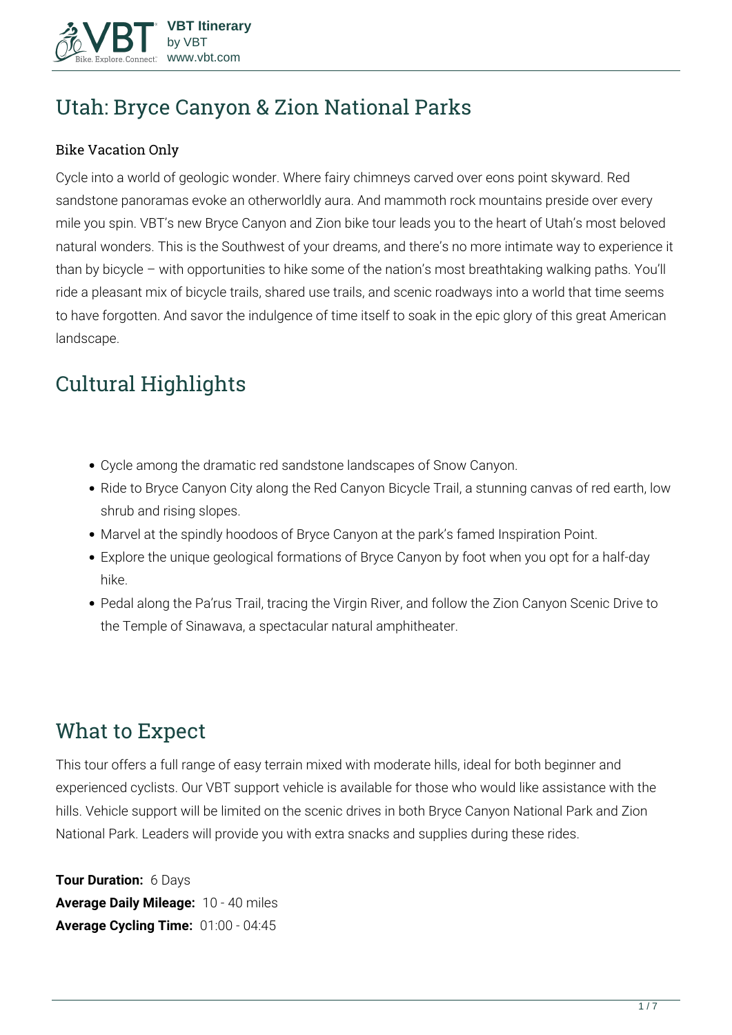

# **Utah: Bryce Canyon & Zion National Parks**

#### Bike Vacation Only

Cycle into a world of geologic wonder. Where fairy chimneys carved over eons point skyward. Red sandstone panoramas evoke an otherworldly aura. And mammoth rock mountains preside over every mile you spin. VBT's new Bryce Canyon and Zion bike tour leads you to the heart of Utah's most beloved natural wonders. This is the Southwest of your dreams, and there's no more intimate way to experience it than by bicycle – with opportunities to hike some of the nation's most breathtaking walking paths. You'll ride a pleasant mix of bicycle trails, shared use trails, and scenic roadways into a world that time seems to have forgotten. And savor the indulgence of time itself to soak in the epic glory of this great American landscape.

# **Cultural Highlights**

- Cycle among the dramatic red sandstone landscapes of Snow Canyon.
- Ride to Bryce Canyon City along the Red Canyon Bicycle Trail, a stunning canvas of red earth, low shrub and rising slopes.
- Marvel at the spindly hoodoos of Bryce Canyon at the park's famed Inspiration Point.
- Explore the unique geological formations of Bryce Canyon by foot when you opt for a half-day hike.
- Pedal along the Pa'rus Trail, tracing the Virgin River, and follow the Zion Canyon Scenic Drive to the Temple of Sinawava, a spectacular natural amphitheater.

# **What to Expect**

This tour offers a full range of easy terrain mixed with moderate hills, ideal for both beginner and experienced cyclists. Our VBT support vehicle is available for those who would like assistance with the hills. Vehicle support will be limited on the scenic drives in both Bryce Canyon National Park and Zion National Park. Leaders will provide you with extra snacks and supplies during these rides.

**Tour Duration:** 6 Days **Average Daily Mileage:** 10 - 40 miles **Average Cycling Time:** 01:00 - 04:45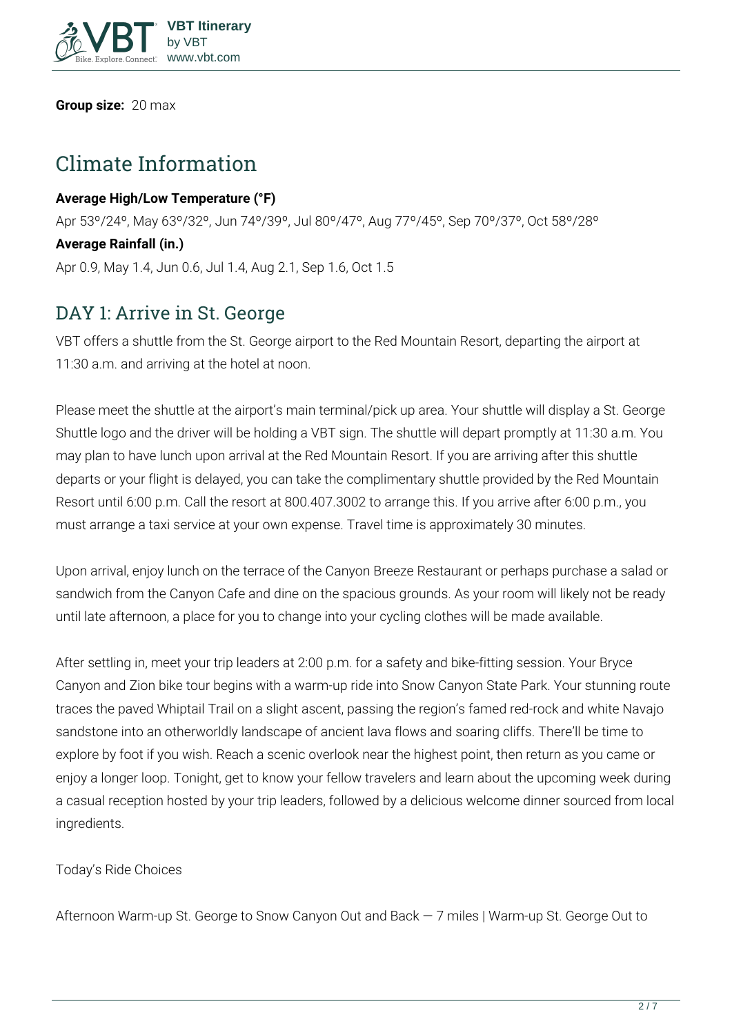

**Group size:** 20 max

# **Climate Information**

#### **Average High/Low Temperature (°F)**

Apr 53º/24º, May 63º/32º, Jun 74º/39º, Jul 80º/47º, Aug 77º/45º, Sep 70º/37º, Oct 58º/28º **Average Rainfall (in.)** Apr 0.9, May 1.4, Jun 0.6, Jul 1.4, Aug 2.1, Sep 1.6, Oct 1.5

## **DAY 1: Arrive in St. George**

VBT offers a shuttle from the St. George airport to the Red Mountain Resort, departing the airport at 11:30 a.m. and arriving at the hotel at noon.

Please meet the shuttle at the airport's main terminal/pick up area. Your shuttle will display a St. George Shuttle logo and the driver will be holding a VBT sign. The shuttle will depart promptly at 11:30 a.m. You may plan to have lunch upon arrival at the Red Mountain Resort. If you are arriving after this shuttle departs or your flight is delayed, you can take the complimentary shuttle provided by the Red Mountain Resort until 6:00 p.m. Call the resort at 800.407.3002 to arrange this. If you arrive after 6:00 p.m., you must arrange a taxi service at your own expense. Travel time is approximately 30 minutes.

Upon arrival, enjoy lunch on the terrace of the Canyon Breeze Restaurant or perhaps purchase a salad or sandwich from the Canyon Cafe and dine on the spacious grounds. As your room will likely not be ready until late afternoon, a place for you to change into your cycling clothes will be made available.

After settling in, meet your trip leaders at 2:00 p.m. for a safety and bike-fitting session. Your Bryce Canyon and Zion bike tour begins with a warm-up ride into Snow Canyon State Park. Your stunning route traces the paved Whiptail Trail on a slight ascent, passing the region's famed red-rock and white Navajo sandstone into an otherworldly landscape of ancient lava flows and soaring cliffs. There'll be time to explore by foot if you wish. Reach a scenic overlook near the highest point, then return as you came or enjoy a longer loop. Tonight, get to know your fellow travelers and learn about the upcoming week during a casual reception hosted by your trip leaders, followed by a delicious welcome dinner sourced from local ingredients.

**Today's Ride Choices**

**Afternoon** Warm-up St. George to Snow Canyon Out and Back — 7 miles | Warm-up St. George Out to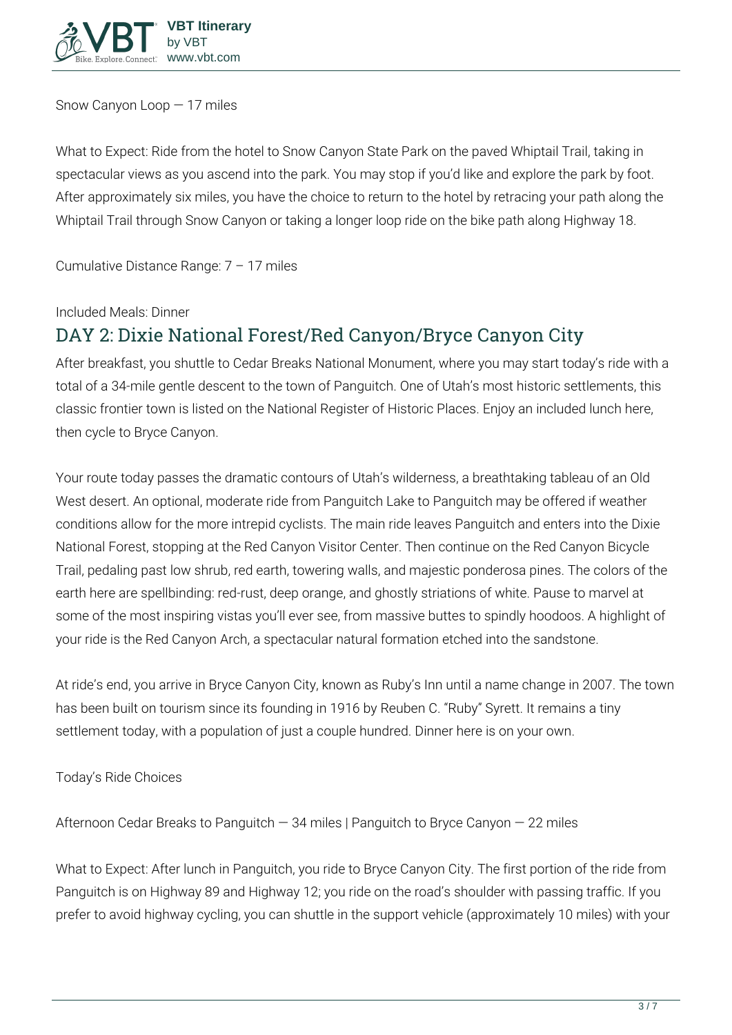

Snow Canyon Loop — 17 miles

**What to Expect:** Ride from the hotel to Snow Canyon State Park on the paved Whiptail Trail, taking in spectacular views as you ascend into the park. You may stop if you'd like and explore the park by foot. After approximately six miles, you have the choice to return to the hotel by retracing your path along the Whiptail Trail through Snow Canyon or taking a longer loop ride on the bike path along Highway 18.

**Cumulative Distance Range:** 7 – 17 miles

**Included Meals:** Dinner

## **DAY 2: Dixie National Forest/Red Canyon/Bryce Canyon City**

After breakfast, you shuttle to Cedar Breaks National Monument, where you may start today's ride with a total of a 34-mile gentle descent to the town of Panguitch. One of Utah's most historic settlements, this classic frontier town is listed on the National Register of Historic Places. Enjoy an included lunch here, then cycle to Bryce Canyon.

Your route today passes the dramatic contours of Utah's wilderness, a breathtaking tableau of an Old West desert. An optional, moderate ride from Panguitch Lake to Panguitch may be offered if weather conditions allow for the more intrepid cyclists. The main ride leaves Panguitch and enters into the Dixie National Forest, stopping at the Red Canyon Visitor Center. Then continue on the Red Canyon Bicycle Trail, pedaling past low shrub, red earth, towering walls, and majestic ponderosa pines. The colors of the earth here are spellbinding: red-rust, deep orange, and ghostly striations of white. Pause to marvel at some of the most inspiring vistas you'll ever see, from massive buttes to spindly hoodoos. A highlight of your ride is the Red Canyon Arch, a spectacular natural formation etched into the sandstone.

At ride's end, you arrive in Bryce Canyon City, known as Ruby's Inn until a name change in 2007. The town has been built on tourism since its founding in 1916 by Reuben C. "Ruby" Syrett. It remains a tiny settlement today, with a population of just a couple hundred. Dinner here is on your own.

**Today's Ride Choices**

**Afternoon** Cedar Breaks to Panguitch — 34 miles | Panguitch to Bryce Canyon — 22 miles

**What to Expect:** After lunch in Panguitch, you ride to Bryce Canyon City. The first portion of the ride from Panguitch is on Highway 89 and Highway 12; you ride on the road's shoulder with passing traffic. If you prefer to avoid highway cycling, you can shuttle in the support vehicle (approximately 10 miles) with your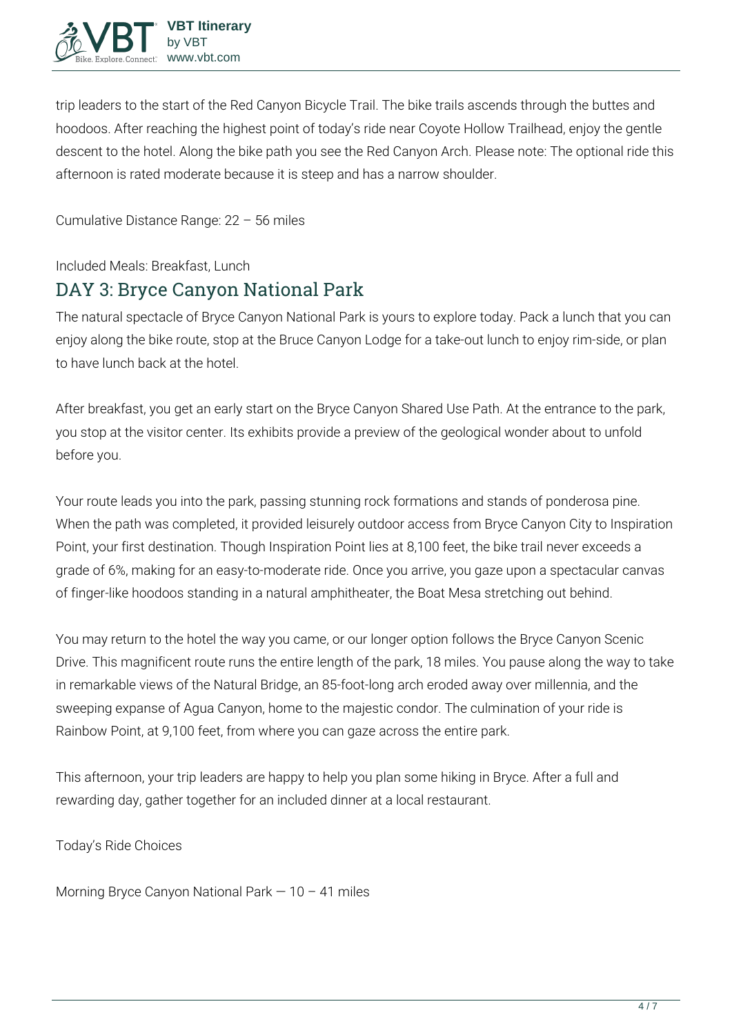

trip leaders to the start of the Red Canyon Bicycle Trail. The bike trails ascends through the buttes and hoodoos. After reaching the highest point of today's ride near Coyote Hollow Trailhead, enjoy the gentle descent to the hotel. Along the bike path you see the Red Canyon Arch. Please note: The optional ride this afternoon is rated moderate because it is steep and has a narrow shoulder.

**Cumulative Distance Range:** 22 – 56 miles

**Included Meals:** Breakfast, Lunch

#### **DAY 3: Bryce Canyon National Park**

The natural spectacle of Bryce Canyon National Park is yours to explore today. Pack a lunch that you can enjoy along the bike route, stop at the Bruce Canyon Lodge for a take-out lunch to enjoy rim-side, or plan to have lunch back at the hotel.

After breakfast, you get an early start on the Bryce Canyon Shared Use Path. At the entrance to the park, you stop at the visitor center. Its exhibits provide a preview of the geological wonder about to unfold before you.

Your route leads you into the park, passing stunning rock formations and stands of ponderosa pine. When the path was completed, it provided leisurely outdoor access from Bryce Canyon City to Inspiration Point, your first destination. Though Inspiration Point lies at 8,100 feet, the bike trail never exceeds a grade of 6%, making for an easy-to-moderate ride. Once you arrive, you gaze upon a spectacular canvas of finger-like hoodoos standing in a natural amphitheater, the Boat Mesa stretching out behind.

You may return to the hotel the way you came, or our longer option follows the Bryce Canyon Scenic Drive. This magnificent route runs the entire length of the park, 18 miles. You pause along the way to take in remarkable views of the Natural Bridge, an 85-foot-long arch eroded away over millennia, and the sweeping expanse of Agua Canyon, home to the majestic condor. The culmination of your ride is Rainbow Point, at 9,100 feet, from where you can gaze across the entire park.

This afternoon, your trip leaders are happy to help you plan some hiking in Bryce. After a full and rewarding day, gather together for an included dinner at a local restaurant.

**Today's Ride Choices**

**Morning** Bryce Canyon National Park — 10 – 41 miles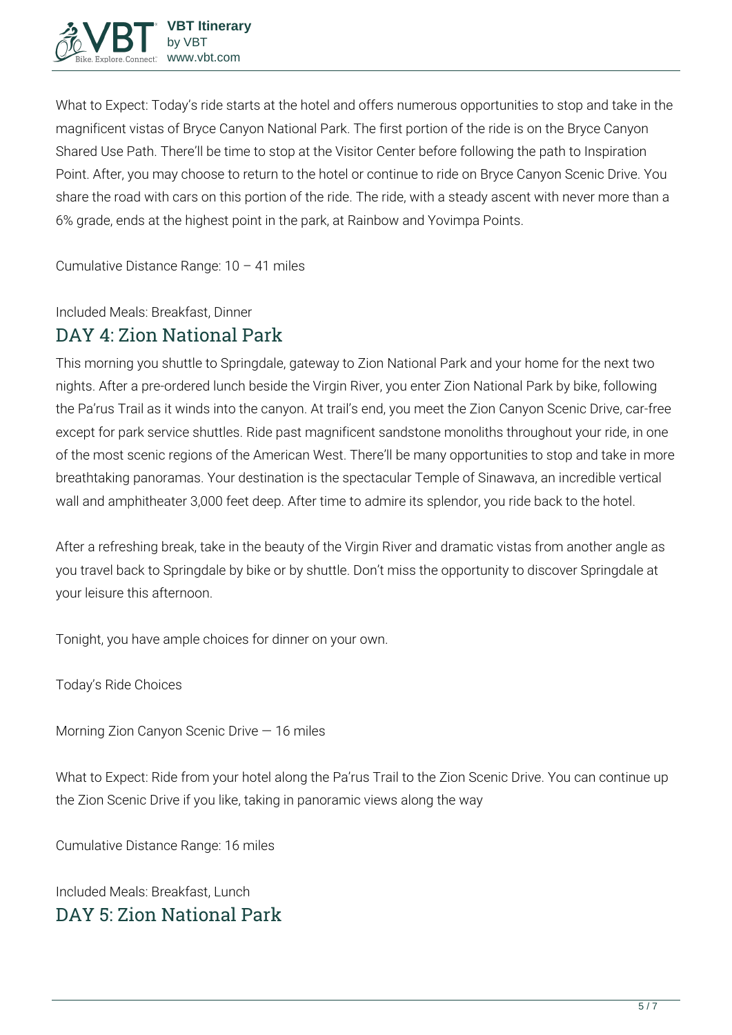

**What to Expect:** Today's ride starts at the hotel and offers numerous opportunities to stop and take in the magnificent vistas of Bryce Canyon National Park. The first portion of the ride is on the Bryce Canyon Shared Use Path. There'll be time to stop at the Visitor Center before following the path to Inspiration Point. After, you may choose to return to the hotel or continue to ride on Bryce Canyon Scenic Drive. You share the road with cars on this portion of the ride. The ride, with a steady ascent with never more than a 6% grade, ends at the highest point in the park, at Rainbow and Yovimpa Points.

**Cumulative Distance Range:** 10 – 41 miles

**Included Meals:** Breakfast, Dinner

### **DAY 4: Zion National Park**

This morning you shuttle to Springdale, gateway to Zion National Park and your home for the next two nights. After a pre-ordered lunch beside the Virgin River, you enter Zion National Park by bike, following the Pa'rus Trail as it winds into the canyon. At trail's end, you meet the Zion Canyon Scenic Drive, car-free except for park service shuttles. Ride past magnificent sandstone monoliths throughout your ride, in one of the most scenic regions of the American West. There'll be many opportunities to stop and take in more breathtaking panoramas. Your destination is the spectacular Temple of Sinawava, an incredible vertical wall and amphitheater 3,000 feet deep. After time to admire its splendor, you ride back to the hotel.

After a refreshing break, take in the beauty of the Virgin River and dramatic vistas from another angle as you travel back to Springdale by bike or by shuttle. Don't miss the opportunity to discover Springdale at your leisure this afternoon.

Tonight, you have ample choices for dinner on your own.

**Today's Ride Choices**

**Morning** Zion Canyon Scenic Drive — 16 miles

**What to Expect:** Ride from your hotel along the Pa'rus Trail to the Zion Scenic Drive. You can continue up the Zion Scenic Drive if you like, taking in panoramic views along the way

**Cumulative Distance Range:** 16 miles

**Included Meals:** Breakfast, Lunch **DAY 5: Zion National Park**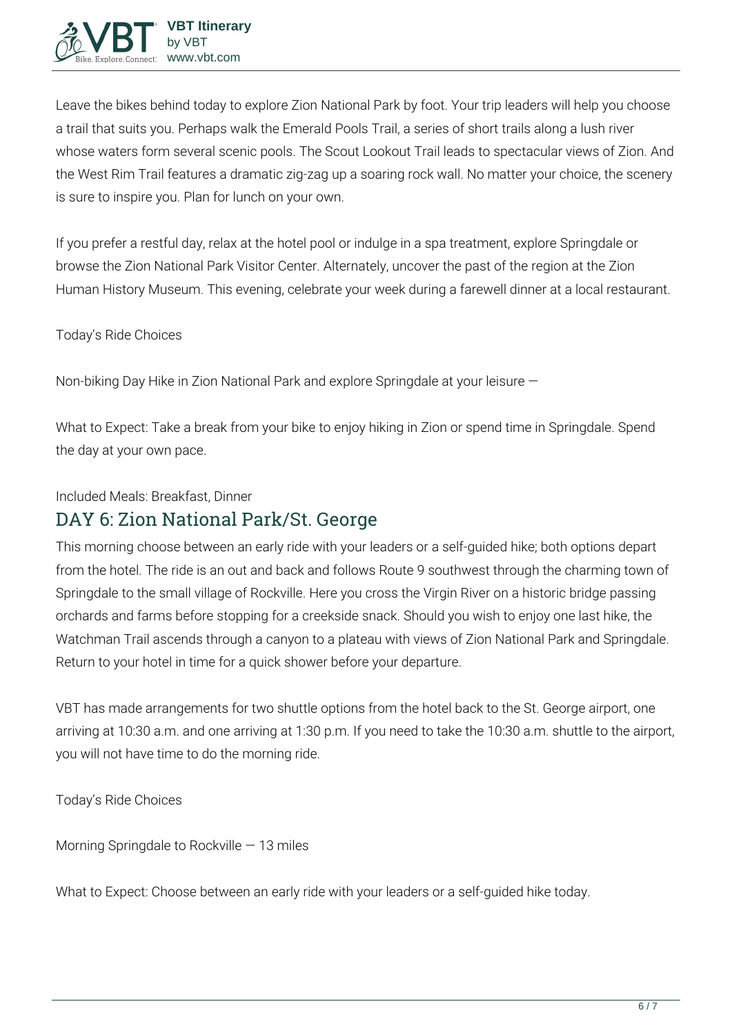

Leave the bikes behind today to explore Zion National Park by foot. Your trip leaders will help you choose a trail that suits you. Perhaps walk the Emerald Pools Trail, a series of short trails along a lush river whose waters form several scenic pools. The Scout Lookout Trail leads to spectacular views of Zion. And the West Rim Trail features a dramatic zig-zag up a soaring rock wall. No matter your choice, the scenery is sure to inspire you. Plan for lunch on your own.

If you prefer a restful day, relax at the hotel pool or indulge in a spa treatment, explore Springdale or browse the Zion National Park Visitor Center. Alternately, uncover the past of the region at the Zion Human History Museum. This evening, celebrate your week during a farewell dinner at a local restaurant.

**Today's Ride Choices**

**Non-biking Day** Hike in Zion National Park and explore Springdale at your leisure —

**What to Expect:** Take a break from your bike to enjoy hiking in Zion or spend time in Springdale. Spend the day at your own pace.

**Included Meals:** Breakfast, Dinner

### **DAY 6: Zion National Park/St. George**

This morning choose between an early ride with your leaders or a self-guided hike; both options depart from the hotel. The ride is an out and back and follows Route 9 southwest through the charming town of Springdale to the small village of Rockville. Here you cross the Virgin River on a historic bridge passing orchards and farms before stopping for a creekside snack. Should you wish to enjoy one last hike, the Watchman Trail ascends through a canyon to a plateau with views of Zion National Park and Springdale. Return to your hotel in time for a quick shower before your departure.

VBT has made arrangements for two shuttle options from the hotel back to the St. George airport, one arriving at 10:30 a.m. and one arriving at 1:30 p.m. If you need to take the 10:30 a.m. shuttle to the airport, you will not have time to do the morning ride.

**Today's Ride Choices**

**Morning** Springdale to Rockville — 13 miles

**What to Expect:** Choose between an early ride with your leaders or a self-guided hike today.